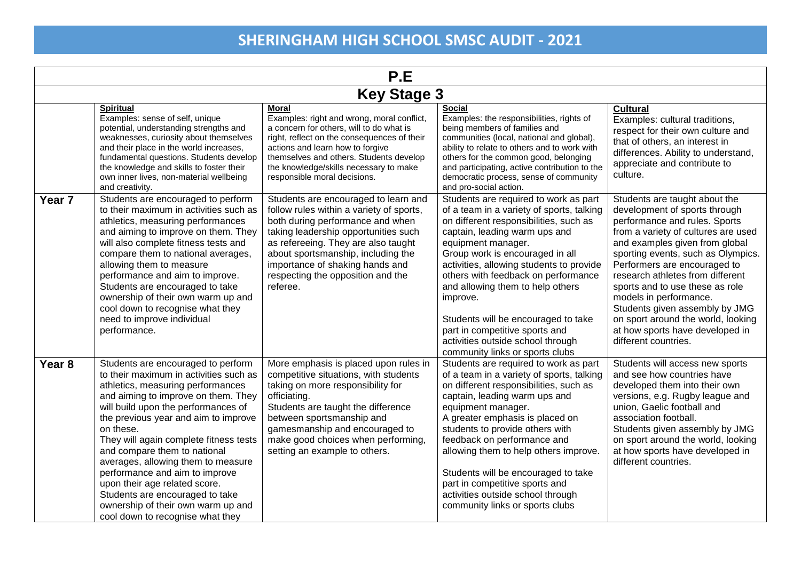| P.E                |                                                                                                                                                                                                                                                                                                                                                                                                                                                                                                                                                      |                                                                                                                                                                                                                                                                                                                               |                                                                                                                                                                                                                                                                                                                                                                                                                                                                                                            |                                                                                                                                                                                                                                                                                                                                                                                                                                                                                    |  |
|--------------------|------------------------------------------------------------------------------------------------------------------------------------------------------------------------------------------------------------------------------------------------------------------------------------------------------------------------------------------------------------------------------------------------------------------------------------------------------------------------------------------------------------------------------------------------------|-------------------------------------------------------------------------------------------------------------------------------------------------------------------------------------------------------------------------------------------------------------------------------------------------------------------------------|------------------------------------------------------------------------------------------------------------------------------------------------------------------------------------------------------------------------------------------------------------------------------------------------------------------------------------------------------------------------------------------------------------------------------------------------------------------------------------------------------------|------------------------------------------------------------------------------------------------------------------------------------------------------------------------------------------------------------------------------------------------------------------------------------------------------------------------------------------------------------------------------------------------------------------------------------------------------------------------------------|--|
| <b>Key Stage 3</b> |                                                                                                                                                                                                                                                                                                                                                                                                                                                                                                                                                      |                                                                                                                                                                                                                                                                                                                               |                                                                                                                                                                                                                                                                                                                                                                                                                                                                                                            |                                                                                                                                                                                                                                                                                                                                                                                                                                                                                    |  |
|                    | <b>Spiritual</b><br>Examples: sense of self, unique<br>potential, understanding strengths and<br>weaknesses, curiosity about themselves<br>and their place in the world increases,<br>fundamental questions. Students develop<br>the knowledge and skills to foster their<br>own inner lives, non-material wellbeing<br>and creativity.                                                                                                                                                                                                              | <b>Moral</b><br>Examples: right and wrong, moral conflict,<br>a concern for others, will to do what is<br>right, reflect on the consequences of their<br>actions and learn how to forgive<br>themselves and others. Students develop<br>the knowledge/skills necessary to make<br>responsible moral decisions.                | <b>Social</b><br>Examples: the responsibilities, rights of<br>being members of families and<br>communities (local, national and global),<br>ability to relate to others and to work with<br>others for the common good, belonging<br>and participating, active contribution to the<br>democratic process, sense of community<br>and pro-social action.                                                                                                                                                     | <b>Cultural</b><br>Examples: cultural traditions,<br>respect for their own culture and<br>that of others, an interest in<br>differences. Ability to understand,<br>appreciate and contribute to<br>culture.                                                                                                                                                                                                                                                                        |  |
| Year <sub>7</sub>  | Students are encouraged to perform<br>to their maximum in activities such as<br>athletics, measuring performances<br>and aiming to improve on them. They<br>will also complete fitness tests and<br>compare them to national averages,<br>allowing them to measure<br>performance and aim to improve.<br>Students are encouraged to take<br>ownership of their own warm up and<br>cool down to recognise what they<br>need to improve individual<br>performance.                                                                                     | Students are encouraged to learn and<br>follow rules within a variety of sports,<br>both during performance and when<br>taking leadership opportunities such<br>as refereeing. They are also taught<br>about sportsmanship, including the<br>importance of shaking hands and<br>respecting the opposition and the<br>referee. | Students are required to work as part<br>of a team in a variety of sports, talking<br>on different responsibilities, such as<br>captain, leading warm ups and<br>equipment manager.<br>Group work is encouraged in all<br>activities, allowing students to provide<br>others with feedback on performance<br>and allowing them to help others<br>improve.<br>Students will be encouraged to take<br>part in competitive sports and<br>activities outside school through<br>community links or sports clubs | Students are taught about the<br>development of sports through<br>performance and rules. Sports<br>from a variety of cultures are used<br>and examples given from global<br>sporting events, such as Olympics.<br>Performers are encouraged to<br>research athletes from different<br>sports and to use these as role<br>models in performance.<br>Students given assembly by JMG<br>on sport around the world, looking<br>at how sports have developed in<br>different countries. |  |
| Year <sub>8</sub>  | Students are encouraged to perform<br>to their maximum in activities such as<br>athletics, measuring performances<br>and aiming to improve on them. They<br>will build upon the performances of<br>the previous year and aim to improve<br>on these.<br>They will again complete fitness tests<br>and compare them to national<br>averages, allowing them to measure<br>performance and aim to improve<br>upon their age related score.<br>Students are encouraged to take<br>ownership of their own warm up and<br>cool down to recognise what they | More emphasis is placed upon rules in<br>competitive situations, with students<br>taking on more responsibility for<br>officiating.<br>Students are taught the difference<br>between sportsmanship and<br>gamesmanship and encouraged to<br>make good choices when performing,<br>setting an example to others.               | Students are required to work as part<br>of a team in a variety of sports, talking<br>on different responsibilities, such as<br>captain, leading warm ups and<br>equipment manager.<br>A greater emphasis is placed on<br>students to provide others with<br>feedback on performance and<br>allowing them to help others improve.<br>Students will be encouraged to take<br>part in competitive sports and<br>activities outside school through<br>community links or sports clubs                         | Students will access new sports<br>and see how countries have<br>developed them into their own<br>versions, e.g. Rugby league and<br>union, Gaelic football and<br>association football.<br>Students given assembly by JMG<br>on sport around the world, looking<br>at how sports have developed in<br>different countries.                                                                                                                                                        |  |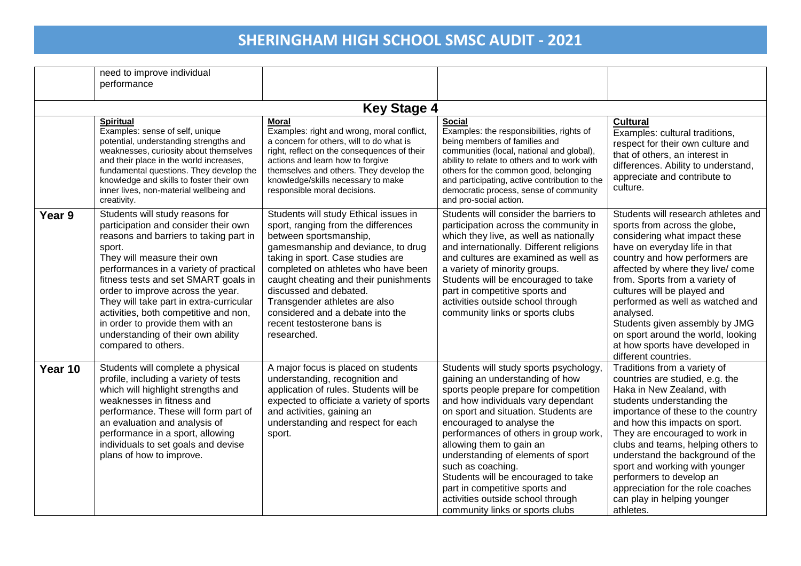|         | need to improve individual<br>performance                                                                                                                                                                                                                                                                                                                                                                                                                              |                                                                                                                                                                                                                                                                                                                                                                                                                |                                                                                                                                                                                                                                                                                                                                                                                                                                                                                                                |                                                                                                                                                                                                                                                                                                                                                                                                                                                                    |
|---------|------------------------------------------------------------------------------------------------------------------------------------------------------------------------------------------------------------------------------------------------------------------------------------------------------------------------------------------------------------------------------------------------------------------------------------------------------------------------|----------------------------------------------------------------------------------------------------------------------------------------------------------------------------------------------------------------------------------------------------------------------------------------------------------------------------------------------------------------------------------------------------------------|----------------------------------------------------------------------------------------------------------------------------------------------------------------------------------------------------------------------------------------------------------------------------------------------------------------------------------------------------------------------------------------------------------------------------------------------------------------------------------------------------------------|--------------------------------------------------------------------------------------------------------------------------------------------------------------------------------------------------------------------------------------------------------------------------------------------------------------------------------------------------------------------------------------------------------------------------------------------------------------------|
|         |                                                                                                                                                                                                                                                                                                                                                                                                                                                                        | <b>Key Stage 4</b>                                                                                                                                                                                                                                                                                                                                                                                             |                                                                                                                                                                                                                                                                                                                                                                                                                                                                                                                |                                                                                                                                                                                                                                                                                                                                                                                                                                                                    |
|         | <b>Spiritual</b><br>Examples: sense of self, unique<br>potential, understanding strengths and<br>weaknesses, curiosity about themselves<br>and their place in the world increases,<br>fundamental questions. They develop the<br>knowledge and skills to foster their own<br>inner lives, non-material wellbeing and<br>creativity.                                                                                                                                    | <b>Moral</b><br>Examples: right and wrong, moral conflict,<br>a concern for others, will to do what is<br>right, reflect on the consequences of their<br>actions and learn how to forgive<br>themselves and others. They develop the<br>knowledge/skills necessary to make<br>responsible moral decisions.                                                                                                     | <b>Social</b><br>Examples: the responsibilities, rights of<br>being members of families and<br>communities (local, national and global),<br>ability to relate to others and to work with<br>others for the common good, belonging<br>and participating, active contribution to the<br>democratic process, sense of community<br>and pro-social action.                                                                                                                                                         | <b>Cultural</b><br>Examples: cultural traditions,<br>respect for their own culture and<br>that of others, an interest in<br>differences. Ability to understand,<br>appreciate and contribute to<br>culture.                                                                                                                                                                                                                                                        |
| Year 9  | Students will study reasons for<br>participation and consider their own<br>reasons and barriers to taking part in<br>sport.<br>They will measure their own<br>performances in a variety of practical<br>fitness tests and set SMART goals in<br>order to improve across the year.<br>They will take part in extra-curricular<br>activities, both competitive and non,<br>in order to provide them with an<br>understanding of their own ability<br>compared to others. | Students will study Ethical issues in<br>sport, ranging from the differences<br>between sportsmanship,<br>gamesmanship and deviance, to drug<br>taking in sport. Case studies are<br>completed on athletes who have been<br>caught cheating and their punishments<br>discussed and debated.<br>Transgender athletes are also<br>considered and a debate into the<br>recent testosterone bans is<br>researched. | Students will consider the barriers to<br>participation across the community in<br>which they live, as well as nationally<br>and internationally. Different religions<br>and cultures are examined as well as<br>a variety of minority groups.<br>Students will be encouraged to take<br>part in competitive sports and<br>activities outside school through<br>community links or sports clubs                                                                                                                | Students will research athletes and<br>sports from across the globe,<br>considering what impact these<br>have on everyday life in that<br>country and how performers are<br>affected by where they live/ come<br>from. Sports from a variety of<br>cultures will be played and<br>performed as well as watched and<br>analysed.<br>Students given assembly by JMG<br>on sport around the world, looking<br>at how sports have developed in<br>different countries. |
| Year 10 | Students will complete a physical<br>profile, including a variety of tests<br>which will highlight strengths and<br>weaknesses in fitness and<br>performance. These will form part of<br>an evaluation and analysis of<br>performance in a sport, allowing<br>individuals to set goals and devise<br>plans of how to improve.                                                                                                                                          | A major focus is placed on students<br>understanding, recognition and<br>application of rules. Students will be<br>expected to officiate a variety of sports<br>and activities, gaining an<br>understanding and respect for each<br>sport.                                                                                                                                                                     | Students will study sports psychology,<br>gaining an understanding of how<br>sports people prepare for competition<br>and how individuals vary dependant<br>on sport and situation. Students are<br>encouraged to analyse the<br>performances of others in group work,<br>allowing them to gain an<br>understanding of elements of sport<br>such as coaching.<br>Students will be encouraged to take<br>part in competitive sports and<br>activities outside school through<br>community links or sports clubs | Traditions from a variety of<br>countries are studied, e.g. the<br>Haka in New Zealand, with<br>students understanding the<br>importance of these to the country<br>and how this impacts on sport.<br>They are encouraged to work in<br>clubs and teams, helping others to<br>understand the background of the<br>sport and working with younger<br>performers to develop an<br>appreciation for the role coaches<br>can play in helping younger<br>athletes.      |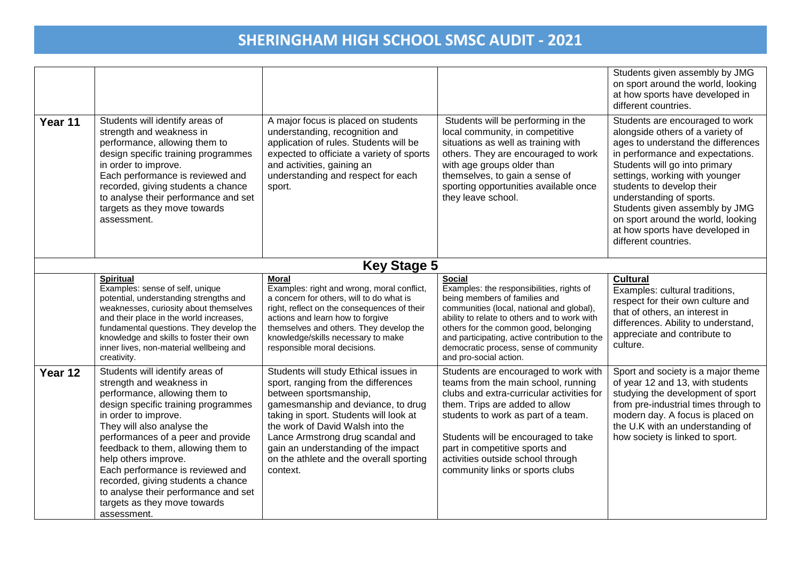| Year 11 | Students will identify areas of<br>strength and weakness in<br>performance, allowing them to<br>design specific training programmes<br>in order to improve.<br>Each performance is reviewed and<br>recorded, giving students a chance<br>to analyse their performance and set<br>targets as they move towards<br>assessment.                                                                                                                                   | A major focus is placed on students<br>understanding, recognition and<br>application of rules. Students will be<br>expected to officiate a variety of sports<br>and activities, gaining an<br>understanding and respect for each<br>sport.                                                                                                                   | Students will be performing in the<br>local community, in competitive<br>situations as well as training with<br>others. They are encouraged to work<br>with age groups older than<br>themselves, to gain a sense of<br>sporting opportunities available once<br>they leave school.                                                                     | Students given assembly by JMG<br>on sport around the world, looking<br>at how sports have developed in<br>different countries.<br>Students are encouraged to work<br>alongside others of a variety of<br>ages to understand the differences<br>in performance and expectations.<br>Students will go into primary<br>settings, working with younger<br>students to develop their<br>understanding of sports.<br>Students given assembly by JMG<br>on sport around the world, looking<br>at how sports have developed in<br>different countries. |
|---------|----------------------------------------------------------------------------------------------------------------------------------------------------------------------------------------------------------------------------------------------------------------------------------------------------------------------------------------------------------------------------------------------------------------------------------------------------------------|--------------------------------------------------------------------------------------------------------------------------------------------------------------------------------------------------------------------------------------------------------------------------------------------------------------------------------------------------------------|--------------------------------------------------------------------------------------------------------------------------------------------------------------------------------------------------------------------------------------------------------------------------------------------------------------------------------------------------------|-------------------------------------------------------------------------------------------------------------------------------------------------------------------------------------------------------------------------------------------------------------------------------------------------------------------------------------------------------------------------------------------------------------------------------------------------------------------------------------------------------------------------------------------------|
|         |                                                                                                                                                                                                                                                                                                                                                                                                                                                                | <b>Key Stage 5</b>                                                                                                                                                                                                                                                                                                                                           |                                                                                                                                                                                                                                                                                                                                                        |                                                                                                                                                                                                                                                                                                                                                                                                                                                                                                                                                 |
|         | <b>Spiritual</b><br>Examples: sense of self, unique<br>potential, understanding strengths and<br>weaknesses, curiosity about themselves<br>and their place in the world increases,<br>fundamental questions. They develop the<br>knowledge and skills to foster their own<br>inner lives, non-material wellbeing and<br>creativity.                                                                                                                            | <b>Moral</b><br>Examples: right and wrong, moral conflict,<br>a concern for others, will to do what is<br>right, reflect on the consequences of their<br>actions and learn how to forgive<br>themselves and others. They develop the<br>knowledge/skills necessary to make<br>responsible moral decisions.                                                   | <b>Social</b><br>Examples: the responsibilities, rights of<br>being members of families and<br>communities (local, national and global),<br>ability to relate to others and to work with<br>others for the common good, belonging<br>and participating, active contribution to the<br>democratic process, sense of community<br>and pro-social action. | <b>Cultural</b><br>Examples: cultural traditions,<br>respect for their own culture and<br>that of others, an interest in<br>differences. Ability to understand,<br>appreciate and contribute to<br>culture.                                                                                                                                                                                                                                                                                                                                     |
| Year 12 | Students will identify areas of<br>strength and weakness in<br>performance, allowing them to<br>design specific training programmes<br>in order to improve.<br>They will also analyse the<br>performances of a peer and provide<br>feedback to them, allowing them to<br>help others improve.<br>Each performance is reviewed and<br>recorded, giving students a chance<br>to analyse their performance and set<br>targets as they move towards<br>assessment. | Students will study Ethical issues in<br>sport, ranging from the differences<br>between sportsmanship,<br>gamesmanship and deviance, to drug<br>taking in sport. Students will look at<br>the work of David Walsh into the<br>Lance Armstrong drug scandal and<br>gain an understanding of the impact<br>on the athlete and the overall sporting<br>context. | Students are encouraged to work with<br>teams from the main school, running<br>clubs and extra-curricular activities for<br>them. Trips are added to allow<br>students to work as part of a team.<br>Students will be encouraged to take<br>part in competitive sports and<br>activities outside school through<br>community links or sports clubs     | Sport and society is a major theme<br>of year 12 and 13, with students<br>studying the development of sport<br>from pre-industrial times through to<br>modern day. A focus is placed on<br>the U.K with an understanding of<br>how society is linked to sport.                                                                                                                                                                                                                                                                                  |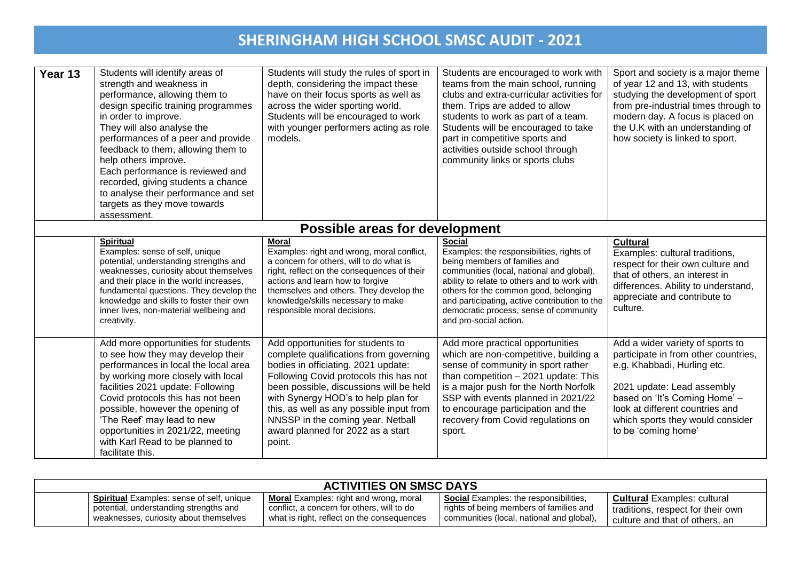| Year 13 | Students will identify areas of<br>strength and weakness in<br>performance, allowing them to<br>design specific training programmes<br>in order to improve.<br>They will also analyse the<br>performances of a peer and provide<br>feedback to them, allowing them to<br>help others improve.<br>Each performance is reviewed and<br>recorded, giving students a chance<br>to analyse their performance and set<br>targets as they move towards<br>assessment. | Students will study the rules of sport in<br>depth, considering the impact these<br>have on their focus sports as well as<br>across the wider sporting world.<br>Students will be encouraged to work<br>with younger performers acting as role<br>models.                                                                                                                      | Students are encouraged to work with<br>teams from the main school, running<br>clubs and extra-curricular activities for<br>them. Trips are added to allow<br>students to work as part of a team.<br>Students will be encouraged to take<br>part in competitive sports and<br>activities outside school through<br>community links or sports clubs     | Sport and society is a major theme<br>of year 12 and 13, with students<br>studying the development of sport<br>from pre-industrial times through to<br>modern day. A focus is placed on<br>the U.K with an understanding of<br>how society is linked to sport.       |  |  |
|---------|----------------------------------------------------------------------------------------------------------------------------------------------------------------------------------------------------------------------------------------------------------------------------------------------------------------------------------------------------------------------------------------------------------------------------------------------------------------|--------------------------------------------------------------------------------------------------------------------------------------------------------------------------------------------------------------------------------------------------------------------------------------------------------------------------------------------------------------------------------|--------------------------------------------------------------------------------------------------------------------------------------------------------------------------------------------------------------------------------------------------------------------------------------------------------------------------------------------------------|----------------------------------------------------------------------------------------------------------------------------------------------------------------------------------------------------------------------------------------------------------------------|--|--|
|         | <b>Possible areas for development</b>                                                                                                                                                                                                                                                                                                                                                                                                                          |                                                                                                                                                                                                                                                                                                                                                                                |                                                                                                                                                                                                                                                                                                                                                        |                                                                                                                                                                                                                                                                      |  |  |
|         | <b>Spiritual</b><br>Examples: sense of self, unique<br>potential, understanding strengths and<br>weaknesses, curiosity about themselves<br>and their place in the world increases,<br>fundamental questions. They develop the<br>knowledge and skills to foster their own<br>inner lives, non-material wellbeing and<br>creativity.                                                                                                                            | <b>Moral</b><br>Examples: right and wrong, moral conflict,<br>a concern for others, will to do what is<br>right, reflect on the consequences of their<br>actions and learn how to forgive<br>themselves and others. They develop the<br>knowledge/skills necessary to make<br>responsible moral decisions.                                                                     | <b>Social</b><br>Examples: the responsibilities, rights of<br>being members of families and<br>communities (local, national and global),<br>ability to relate to others and to work with<br>others for the common good, belonging<br>and participating, active contribution to the<br>democratic process, sense of community<br>and pro-social action. | <b>Cultural</b><br>Examples: cultural traditions,<br>respect for their own culture and<br>that of others, an interest in<br>differences. Ability to understand,<br>appreciate and contribute to<br>culture.                                                          |  |  |
|         | Add more opportunities for students<br>to see how they may develop their<br>performances in local the local area<br>by working more closely with local<br>facilities 2021 update: Following<br>Covid protocols this has not been<br>possible, however the opening of<br>'The Reef' may lead to new<br>opportunities in 2021/22, meeting<br>with Karl Read to be planned to<br>facilitate this.                                                                 | Add opportunities for students to<br>complete qualifications from governing<br>bodies in officiating. 2021 update:<br>Following Covid protocols this has not<br>been possible, discussions will be held<br>with Synergy HOD's to help plan for<br>this, as well as any possible input from<br>NNSSP in the coming year. Netball<br>award planned for 2022 as a start<br>point. | Add more practical opportunities<br>which are non-competitive, building a<br>sense of community in sport rather<br>than competition $-2021$ update: This<br>is a major push for the North Norfolk<br>SSP with events planned in 2021/22<br>to encourage participation and the<br>recovery from Covid regulations on<br>sport.                          | Add a wider variety of sports to<br>participate in from other countries,<br>e.g. Khabbadi, Hurling etc.<br>2021 update: Lead assembly<br>based on 'It's Coming Home' -<br>look at different countries and<br>which sports they would consider<br>to be 'coming home' |  |  |

| <b>ACTIVITIES ON SMSC DAYS</b> |                                                  |                                               |                                               |                                    |
|--------------------------------|--------------------------------------------------|-----------------------------------------------|-----------------------------------------------|------------------------------------|
|                                | <b>Spiritual</b> Examples: sense of self, unique | <b>Moral</b> Examples: right and wrong, moral | <b>Social</b> Examples: the responsibilities, | <b>Cultural</b> Examples: cultural |
|                                | potential, understanding strengths and           | conflict, a concern for others, will to do    | rights of being members of families and       | traditions, respect for their own  |
|                                | weaknesses, curiosity about themselves           | what is right, reflect on the consequences    | communities (local, national and global),     | culture and that of others, an     |